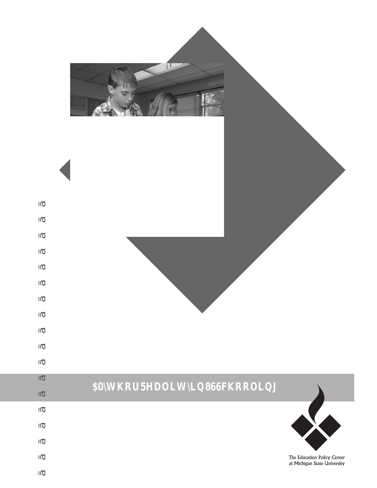



The Education Policy Center<br>at Michigan State University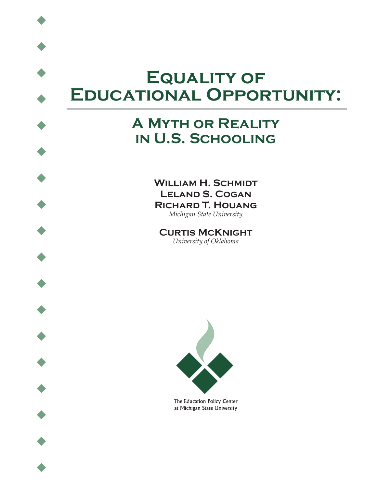# **Equality of Educational Opportunity:**

## **A Myth or Reality in U.S. Schooling**

**William H. Schmidt Leland S. Cogan Richard T. Houang** *Michigan State University*

**CURTIS MCKNIGHT** *University of Oklahoma*

u u u u u u u u u u u u u u u u u u



The Education Policy Center at Michigan State University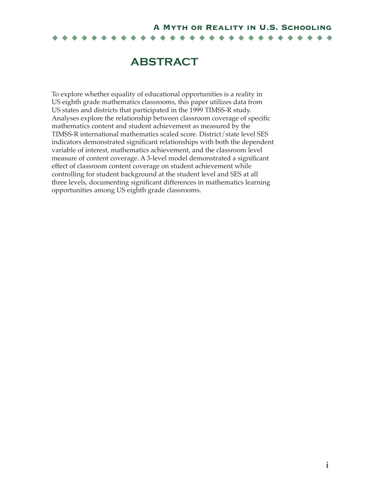## **ABSTRACT**

u u u u u u u u u u u u u u u u u u u u u u u u u u u u u

To explore whether equality of educational opportunities is a reality in US eighth grade mathematics classrooms, this paper utilizes data from US states and districts that participated in the 1999 TIMSS-R study. Analyses explore the relationship between classroom coverage of specific mathematics content and student achievement as measured by the TIMSS-R international mathematics scaled score. District/state level SES indicators demonstrated significant relationships with both the dependent variable of interest, mathematics achievement, and the classroom level measure of content coverage. A 3-level model demonstrated a significant effect of classroom content coverage on student achievement while controlling for student background at the student level and SES at all three levels, documenting significant differences in mathematics learning opportunities among US eighth grade classrooms.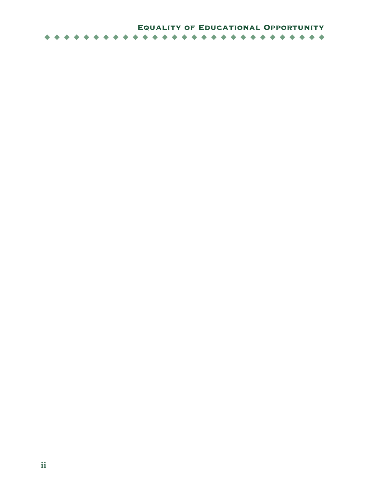### **Equality of Educational Opportunity** u u u u u u u u u u u u u u u u u u u u u u u u u u u u u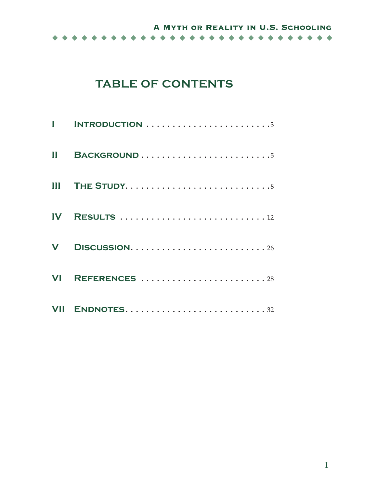## **TABLE OF CONTENTS**

u u u u u u u u u u u u u u u u u u u u u u u u u u u u u

| II. |                   |
|-----|-------------------|
|     |                   |
|     |                   |
| V I |                   |
|     | VI REFERENCES  28 |
|     | VII ENDNOTES32    |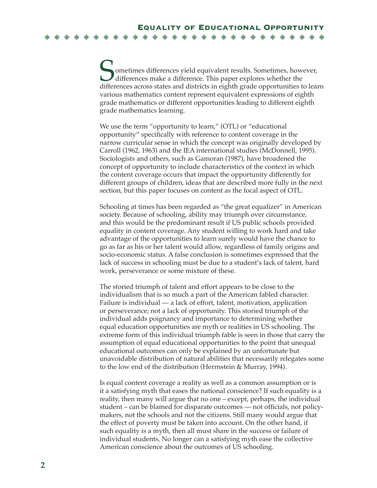ometimes differences yield equivalent results. Sometimes, however, differences make a difference. This paper explores whether the differences across states and districts in eighth grade opportunities to learn various mathematics content represent equivalent expressions of eighth grade mathematics or different opportunities leading to different eighth grade mathematics learning.

u u u u u u u u u u u u u u u u u u u u u u u u u u u u u

We use the term "opportunity to learn," (OTL) or "educational opportunity" specifically with reference to content coverage in the narrow curricular sense in which the concept was originally developed by Carroll (1962, 1963) and the IEA international studies (McDonnell, 1995). Sociologists and others, such as Gamoran (1987), have broadened the concept of opportunity to include characteristics of the context in which the content coverage occurs that impact the opportunity differently for different groups of children, ideas that are described more fully in the next section, but this paper focuses on content as the focal aspect of OTL.

Schooling at times has been regarded as "the great equalizer" in American society. Because of schooling, ability may triumph over circumstance, and this would be the predominant result if US public schools provided equality in content coverage. Any student willing to work hard and take advantage of the opportunities to learn surely would have the chance to go as far as his or her talent would allow, regardless of family origins and socio-economic status. A false conclusion is sometimes expressed that the lack of success in schooling must be due to a student's lack of talent, hard work, perseverance or some mixture of these.

The storied triumph of talent and effort appears to be close to the individualism that is so much a part of the American fabled character. Failure is individual — a lack of effort, talent, motivation, application or perseverance; not a lack of opportunity. This storied triumph of the individual adds poignancy and importance to determining whether equal education opportunities are myth or realities in US schooling. The extreme form of this individual triumph fable is seen in those that carry the assumption of equal educational opportunities to the point that unequal educational outcomes can only be explained by an unfortunate but unavoidable distribution of natural abilities that necessarily relegates some to the low end of the distribution (Herrnstein & Murray, 1994).

Is equal content coverage a reality as well as a common assumption or is it a satisfying myth that eases the national conscience? If such equality is a reality, then many will argue that no one – except, perhaps, the individual student – can be blamed for disparate outcomes — not officials, not policymakers, not the schools and not the citizens. Still many would argue that the effect of poverty must be taken into account. On the other hand, if such equality is a myth, then all must share in the success or failure of individual students. No longer can a satisfying myth ease the collective American conscience about the outcomes of US schooling.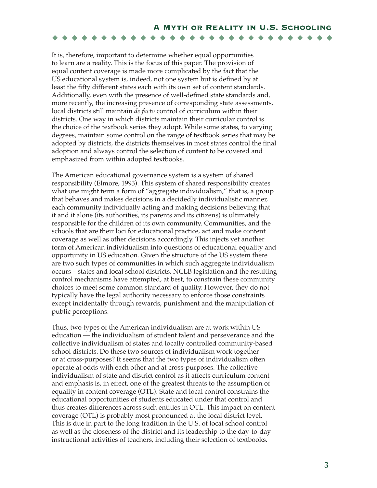#### u u u u u u u u u u u u u u u u u u u u u u u u u u u u u

It is, therefore, important to determine whether equal opportunities to learn are a reality. This is the focus of this paper. The provision of equal content coverage is made more complicated by the fact that the US educational system is, indeed, not one system but is defined by at least the fifty different states each with its own set of content standards. Additionally, even with the presence of well-defined state standards and, more recently, the increasing presence of corresponding state assessments, local districts still maintain *de facto* control of curriculum within their districts. One way in which districts maintain their curricular control is the choice of the textbook series they adopt. While some states, to varying degrees, maintain some control on the range of textbook series that may be adopted by districts, the districts themselves in most states control the final adoption and always control the selection of content to be covered and emphasized from within adopted textbooks.

The American educational governance system is a system of shared responsibility (Elmore, 1993). This system of shared responsibility creates what one might term a form of "aggregate individualism," that is, a group that behaves and makes decisions in a decidedly individualistic manner, each community individually acting and making decisions believing that it and it alone (its authorities, its parents and its citizens) is ultimately responsible for the children of its own community. Communities, and the schools that are their loci for educational practice, act and make content coverage as well as other decisions accordingly. This injects yet another form of American individualism into questions of educational equality and opportunity in US education. Given the structure of the US system there are two such types of communities in which such aggregate individualism occurs – states and local school districts. NCLB legislation and the resulting control mechanisms have attempted, at best, to constrain these community choices to meet some common standard of quality. However, they do not typically have the legal authority necessary to enforce those constraints except incidentally through rewards, punishment and the manipulation of public perceptions.

Thus, two types of the American individualism are at work within US education — the individualism of student talent and perseverance and the collective individualism of states and locally controlled community-based school districts. Do these two sources of individualism work together or at cross-purposes? It seems that the two types of individualism often operate at odds with each other and at cross-purposes. The collective individualism of state and district control as it affects curriculum content and emphasis is, in effect, one of the greatest threats to the assumption of equality in content coverage (OTL). State and local control constrains the educational opportunities of students educated under that control and thus creates differences across such entities in OTL. This impact on content coverage (OTL) is probably most pronounced at the local district level. This is due in part to the long tradition in the U.S. of local school control as well as the closeness of the district and its leadership to the day-to-day instructional activities of teachers, including their selection of textbooks.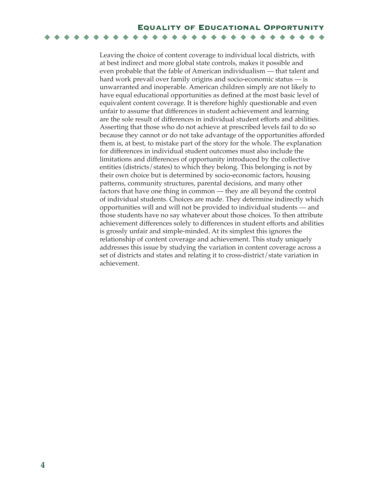#### **EQUALITY OF EDUCATIONAL OPPORTUNI**

u u u u u u u u u u u u u u u u u u u u u u u u u u u u u

Leaving the choice of content coverage to individual local districts, with at best indirect and more global state controls, makes it possible and even probable that the fable of American individualism — that talent and hard work prevail over family origins and socio-economic status — is unwarranted and inoperable. American children simply are not likely to have equal educational opportunities as defined at the most basic level of equivalent content coverage. It is therefore highly questionable and even unfair to assume that differences in student achievement and learning are the sole result of differences in individual student efforts and abilities. Asserting that those who do not achieve at prescribed levels fail to do so because they cannot or do not take advantage of the opportunities afforded them is, at best, to mistake part of the story for the whole. The explanation for differences in individual student outcomes must also include the limitations and differences of opportunity introduced by the collective entities (districts/states) to which they belong. This belonging is not by their own choice but is determined by socio-economic factors, housing patterns, community structures, parental decisions, and many other factors that have one thing in common — they are all beyond the control of individual students. Choices are made. They determine indirectly which opportunities will and will not be provided to individual students — and those students have no say whatever about those choices. To then attribute achievement differences solely to differences in student efforts and abilities is grossly unfair and simple-minded. At its simplest this ignores the relationship of content coverage and achievement. This study uniquely addresses this issue by studying the variation in content coverage across a set of districts and states and relating it to cross-district/state variation in achievement.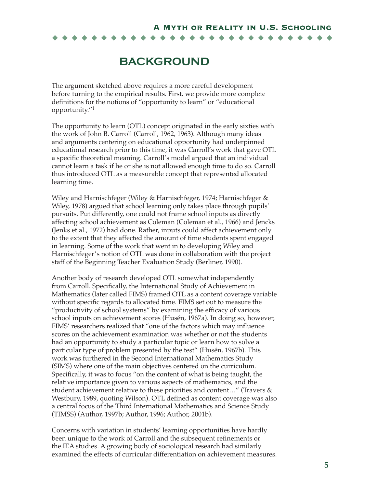## **BACKGROUND**

u u u u u u u u u u u u u u u u u u u u u u u u u u u u u

The argument sketched above requires a more careful development before turning to the empirical results. First, we provide more complete definitions for the notions of "opportunity to learn" or "educational opportunity."<sup>1</sup>

The opportunity to learn (OTL) concept originated in the early sixties with the work of John B. Carroll (Carroll, 1962, 1963). Although many ideas and arguments centering on educational opportunity had underpinned educational research prior to this time, it was Carroll's work that gave OTL a specific theoretical meaning. Carroll's model argued that an individual cannot learn a task if he or she is not allowed enough time to do so. Carroll thus introduced OTL as a measurable concept that represented allocated learning time.

Wiley and Harnischfeger (Wiley & Harnischfeger, 1974; Harnischfeger & Wiley, 1978) argued that school learning only takes place through pupils' pursuits. Put differently, one could not frame school inputs as directly affecting school achievement as Coleman (Coleman et al., 1966) and Jencks (Jenks et al., 1972) had done. Rather, inputs could affect achievement only to the extent that they affected the amount of time students spent engaged in learning. Some of the work that went in to developing Wiley and Harnischfeger's notion of OTL was done in collaboration with the project staff of the Beginning Teacher Evaluation Study (Berliner, 1990).

Another body of research developed OTL somewhat independently from Carroll. Specifically, the International Study of Achievement in Mathematics (later called FIMS) framed OTL as a content coverage variable without specific regards to allocated time. FIMS set out to measure the "productivity of school systems" by examining the efficacy of various school inputs on achievement scores (Husén, 1967a). In doing so, however, FIMS' researchers realized that "one of the factors which may influence scores on the achievement examination was whether or not the students had an opportunity to study a particular topic or learn how to solve a particular type of problem presented by the test" (Husén, 1967b). This work was furthered in the Second International Mathematics Study (SIMS) where one of the main objectives centered on the curriculum. Specifically, it was to focus "on the content of what is being taught, the relative importance given to various aspects of mathematics, and the student achievement relative to these priorities and content…" (Travers & Westbury, 1989, quoting Wilson). OTL defined as content coverage was also a central focus of the Third International Mathematics and Science Study (TIMSS) (Author, 1997b; Author, 1996; Author, 2001b).

Concerns with variation in students' learning opportunities have hardly been unique to the work of Carroll and the subsequent refinements or the IEA studies. A growing body of sociological research had similarly examined the effects of curricular differentiation on achievement measures.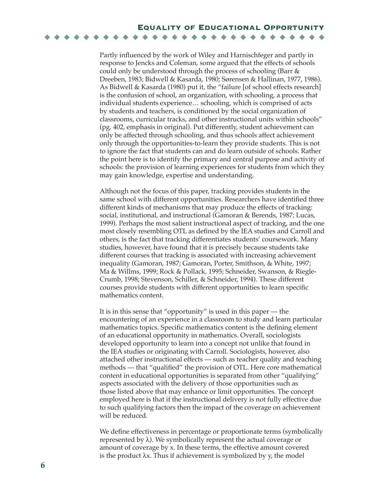Partly influenced by the work of Wiley and Harnischfeger and partly in response to Jencks and Coleman, some argued that the effects of schools could only be understood through the process of schooling (Barr & Dreeben, 1983; Bidwell & Kasarda, 1980; Sørensen & Hallinan, 1977, 1986). As Bidwell & Kasarda (1980) put it, the "failure [of school effects research] is the confusion of school, an organization, with schooling, a process that individual students experience… schooling, which is comprised of acts by students and teachers, is conditioned by the social organization of classrooms, curricular tracks, and other instructional units within schools" (pg. 402, emphasis in original). Put differently, student achievement can only be affected through schooling, and thus schools affect achievement only through the opportunities-to-learn they provide students. This is not to ignore the fact that students can and do learn outside of schools. Rather the point here is to identify the primary and central purpose and activity of schools: the provision of learning experiences for students from which they may gain knowledge, expertise and understanding.

u u u u u u u u u u u u u u u u u u u u u u u u u u u u u

Although not the focus of this paper, tracking provides students in the same school with different opportunities. Researchers have identified three different kinds of mechanisms that may produce the effects of tracking: social, institutional, and instructional (Gamoran & Berends, 1987; Lucas, 1999). Perhaps the most salient instructional aspect of tracking, and the one most closely resembling OTL as defined by the IEA studies and Carroll and others, is the fact that tracking differentiates students' coursework. Many studies, however, have found that it is precisely because students take different courses that tracking is associated with increasing achievement inequality (Gamoran, 1987; Gamoran, Porter, Smithson, & White, 1997; Ma & Willms, 1999; Rock & Pollack, 1995; Schneider, Swanson, & Riegle-Crumb, 1998; Stevenson, Schiller, & Schneider, 1994). These different courses provide students with different opportunities to learn specific mathematics content.

It is in this sense that "opportunity" is used in this paper — the encountering of an experience in a classroom to study and learn particular mathematics topics. Specific mathematics content is the defining element of an educational opportunity in mathematics. Overall, sociologists developed opportunity to learn into a concept not unlike that found in the IEA studies or originating with Carroll. Sociologists, however, also attached other instructional effects — such as teacher quality and teaching methods — that "qualified" the provision of OTL. Here core mathematical content in educational opportunities is separated from other "qualifying" aspects associated with the delivery of those opportunities such as those listed above that may enhance or limit opportunities. The concept employed here is that if the instructional delivery is not fully effective due to such qualifying factors then the impact of the coverage on achievement will be reduced.

We define effectiveness in percentage or proportionate terms (symbolically represented by λ). We symbolically represent the actual coverage or amount of coverage by x. In these terms, the effective amount covered is the product  $\lambda x$ . Thus if achievement is symbolized by y, the model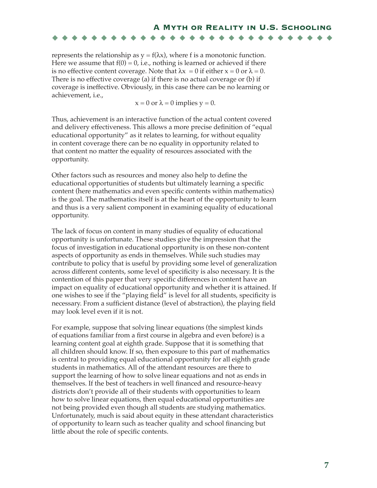represents the relationship as  $y = f(\lambda x)$ , where f is a monotonic function. Here we assume that  $f(0) = 0$ , i.e., nothing is learned or achieved if there is no effective content coverage. Note that  $\lambda x = 0$  if either  $x = 0$  or  $\lambda = 0$ . There is no effective coverage (a) if there is no actual coverage or (b) if coverage is ineffective. Obviously, in this case there can be no learning or achievement, i.e.,

 $x = 0$  or  $\lambda = 0$  implies  $y = 0$ .

Thus, achievement is an interactive function of the actual content covered and delivery effectiveness. This allows a more precise definition of "equal educational opportunity" as it relates to learning, for without equality in content coverage there can be no equality in opportunity related to that content no matter the equality of resources associated with the opportunity.

Other factors such as resources and money also help to define the educational opportunities of students but ultimately learning a specific content (here mathematics and even specific contents within mathematics) is the goal. The mathematics itself is at the heart of the opportunity to learn and thus is a very salient component in examining equality of educational opportunity.

The lack of focus on content in many studies of equality of educational opportunity is unfortunate. These studies give the impression that the focus of investigation in educational opportunity is on these non-content aspects of opportunity as ends in themselves. While such studies may contribute to policy that is useful by providing some level of generalization across different contents, some level of specificity is also necessary. It is the contention of this paper that very specific differences in content have an impact on equality of educational opportunity and whether it is attained. If one wishes to see if the "playing field" is level for all students, specificity is necessary. From a sufficient distance (level of abstraction), the playing field may look level even if it is not.

For example, suppose that solving linear equations (the simplest kinds of equations familiar from a first course in algebra and even before) is a learning content goal at eighth grade. Suppose that it is something that all children should know. If so, then exposure to this part of mathematics is central to providing equal educational opportunity for all eighth grade students in mathematics. All of the attendant resources are there to support the learning of how to solve linear equations and not as ends in themselves. If the best of teachers in well financed and resource-heavy districts don't provide all of their students with opportunities to learn how to solve linear equations, then equal educational opportunities are not being provided even though all students are studying mathematics. Unfortunately, much is said about equity in these attendant characteristics of opportunity to learn such as teacher quality and school financing but little about the role of specific contents.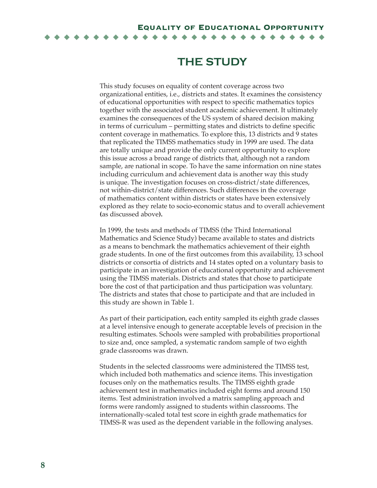## **THE STUDY**

u u u u u u u u u u u u u u u u u u u u u u u u u u u u u

This study focuses on equality of content coverage across two organizational entities, i.e., districts and states. It examines the consistency of educational opportunities with respect to specific mathematics topics together with the associated student academic achievement. It ultimately examines the consequences of the US system of shared decision making in terms of curriculum – permitting states and districts to define specific content coverage in mathematics. To explore this, 13 districts and 9 states that replicated the TIMSS mathematics study in 1999 are used. The data are totally unique and provide the only current opportunity to explore this issue across a broad range of districts that, although not a random sample, are national in scope. To have the same information on nine states including curriculum and achievement data is another way this study is unique. The investigation focuses on cross-district/state differences, not within-district/state differences. Such differences in the coverage of mathematics content within districts or states have been extensively explored as they relate to socio-economic status and to overall achievement **(**as discussed above**).**

In 1999, the tests and methods of TIMSS (the Third International Mathematics and Science Study) became available to states and districts as a means to benchmark the mathematics achievement of their eighth grade students. In one of the first outcomes from this availability, 13 school districts or consortia of districts and 14 states opted on a voluntary basis to participate in an investigation of educational opportunity and achievement using the TIMSS materials. Districts and states that chose to participate bore the cost of that participation and thus participation was voluntary. The districts and states that chose to participate and that are included in this study are shown in Table 1.

As part of their participation, each entity sampled its eighth grade classes at a level intensive enough to generate acceptable levels of precision in the resulting estimates. Schools were sampled with probabilities proportional to size and, once sampled, a systematic random sample of two eighth grade classrooms was drawn.

Students in the selected classrooms were administered the TIMSS test, which included both mathematics and science items. This investigation focuses only on the mathematics results. The TIMSS eighth grade achievement test in mathematics included eight forms and around 150 items. Test administration involved a matrix sampling approach and forms were randomly assigned to students within classrooms. The internationally-scaled total test score in eighth grade mathematics for TIMSS-R was used as the dependent variable in the following analyses.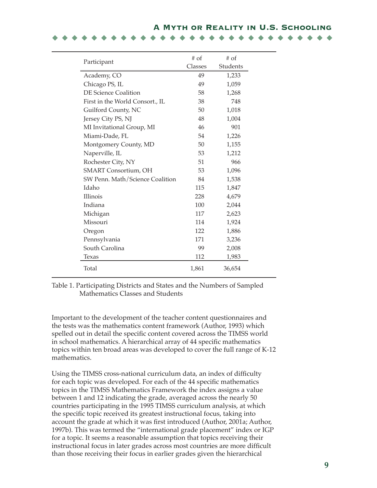#### **A Myth or Reality in U.S. Schooling**

u u u u u u u u u u u u u u u u u u u u u u u u u u u u u

| Participant                     | $# \; of$ | $#$ of   |
|---------------------------------|-----------|----------|
|                                 | Classes   | Students |
| Academy, CO                     | 49        | 1,233    |
| Chicago PS, IL                  | 49        | 1,059    |
| DE Science Coalition            | 58        | 1,268    |
| First in the World Consort., IL | 38        | 748      |
| Guilford County, NC             | 50        | 1,018    |
| Jersey City PS, NJ              | 48        | 1,004    |
| MI Invitational Group, MI       | 46        | 901      |
| Miami-Dade, FL                  | 54        | 1,226    |
| Montgomery County, MD           | 50        | 1,155    |
| Naperville, IL                  | 53        | 1,212    |
| Rochester City, NY              | 51        | 966      |
| SMART Consortium, OH            | 53        | 1,096    |
| SW Penn. Math/Science Coalition | 84        | 1,538    |
| Idaho                           | 115       | 1,847    |
| <b>Illinois</b>                 | 228       | 4,679    |
| Indiana                         | 100       | 2,044    |
| Michigan                        | 117       | 2,623    |
| Missouri                        | 114       | 1,924    |
| Oregon                          | 122       | 1,886    |
| Pennsylvania                    | 171       | 3,236    |
| South Carolina                  | 99        | 2,008    |
| Texas                           | 112       | 1,983    |
| Total                           | 1,861     | 36,654   |

Table 1. Participating Districts and States and the Numbers of Sampled Mathematics Classes and Students

Important to the development of the teacher content questionnaires and the tests was the mathematics content framework (Author, 1993) which spelled out in detail the specific content covered across the TIMSS world in school mathematics. A hierarchical array of 44 specific mathematics topics within ten broad areas was developed to cover the full range of K-12 mathematics.

Using the TIMSS cross-national curriculum data, an index of difficulty for each topic was developed. For each of the 44 specific mathematics topics in the TIMSS Mathematics Framework the index assigns a value between 1 and 12 indicating the grade, averaged across the nearly 50 countries participating in the 1995 TIMSS curriculum analysis, at which the specific topic received its greatest instructional focus, taking into account the grade at which it was first introduced (Author, 2001a; Author, 1997b). This was termed the "international grade placement" index or IGP for a topic. It seems a reasonable assumption that topics receiving their instructional focus in later grades across most countries are more difficult than those receiving their focus in earlier grades given the hierarchical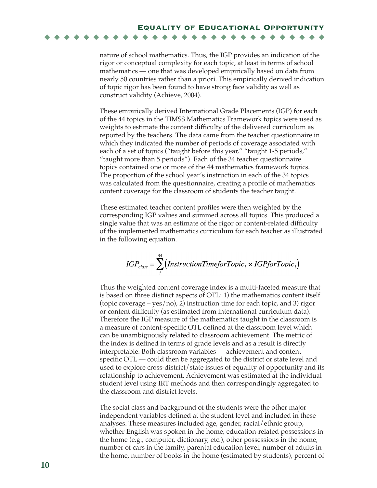nature of school mathematics. Thus, the IGP provides an indication of the rigor or conceptual complexity for each topic, at least in terms of school mathematics — one that was developed empirically based on data from nearly 50 countries rather than a priori. This empirically derived indication of topic rigor has been found to have strong face validity as well as construct validity (Achieve, 2004).

These empirically derived International Grade Placements (IGP) for each of the 44 topics in the TIMSS Mathematics Framework topics were used as weights to estimate the content difficulty of the delivered curriculum as reported by the teachers. The data came from the teacher questionnaire in which they indicated the number of periods of coverage associated with each of a set of topics ("taught before this year," "taught 1-5 periods," "taught more than 5 periods"). Each of the 34 teacher questionnaire topics contained one or more of the 44 mathematics framework topics. The proportion of the school year's instruction in each of the 34 topics was calculated from the questionnaire, creating a profile of mathematics content coverage for the classroom of students the teacher taught.

These estimated teacher content profiles were then weighted by the corresponding IGP values and summed across all topics. This produced a single value that was an estimate of the rigor or content-related difficulty of the implemented mathematics curriculum for each teacher as illustrated in the following equation. was an estimate or the rigor or content-related difficulted mathematics curriculum for each teacher as illust<br>equation.<br>=  $\sum_{i}^{34} (InstructionTime for Topic_{i} \times IGP for Topic_{i})$ 

$$
IGP_{class} = \sum_{i}^{34} (InstructionTime for Topic_i \times IGP for Topic_i)
$$

Thus the weighted content coverage index is a multi-faceted measure that is based on three distinct aspects of OTL: 1) the mathematics content itself (topic coverage – yes/no), 2) instruction time for each topic, and 3) rigor or content difficulty (as estimated from international curriculum data). Therefore the IGP measure of the mathematics taught in the classroom is a measure of content-specific OTL defined at the classroom level which can be unambiguously related to classroom achievement. The metric of the index is defined in terms of grade levels and as a result is directly interpretable. Both classroom variables — achievement and contentspecific OTL — could then be aggregated to the district or state level and used to explore cross-district/state issues of equality of opportunity and its relationship to achievement. Achievement was estimated at the individual student level using IRT methods and then correspondingly aggregated to the classroom and district levels.

The social class and background of the students were the other major independent variables defined at the student level and included in these analyses. These measures included age, gender, racial/ethnic group, whether English was spoken in the home, education-related possessions in the home (e.g., computer, dictionary, etc.), other possessions in the home, number of cars in the family, parental education level, number of adults in the home, number of books in the home (estimated by students), percent of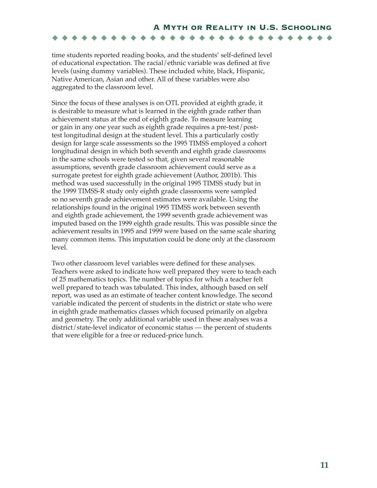## **A Myth or Reality in U.S. Schooling**

u u u u u u u u u u u u u u u u u u u u u u u u u u u u u

time students reported reading books, and the students' self-defined level of educational expectation. The racial/ethnic variable was defined at five levels (using dummy variables). These included white, black, Hispanic, Native American, Asian and other. All of these variables were also aggregated to the classroom level.

Since the focus of these analyses is on OTL provided at eighth grade, it is desirable to measure what is learned in the eighth grade rather than achievement status at the end of eighth grade. To measure learning or gain in any one year such as eighth grade requires a pre-test/posttest longitudinal design at the student level. This a particularly costly design for large scale assessments so the 1995 TIMSS employed a cohort longitudinal design in which both seventh and eighth grade classrooms in the same schools were tested so that, given several reasonable assumptions, seventh grade classroom achievement could serve as a surrogate pretest for eighth grade achievement (Author, 2001b). This method was used successfully in the original 1995 TIMSS study but in the 1999 TIMSS-R study only eighth grade classrooms were sampled so no seventh grade achievement estimates were available. Using the relationships found in the original 1995 TIMSS work between seventh and eighth grade achievement, the 1999 seventh grade achievement was imputed based on the 1999 eighth grade results. This was possible since the achievement results in 1995 and 1999 were based on the same scale sharing many common items. This imputation could be done only at the classroom level.

Two other classroom level variables were defined for these analyses. Teachers were asked to indicate how well prepared they were to teach each of 25 mathematics topics. The number of topics for which a teacher felt well prepared to teach was tabulated. This index, although based on self report, was used as an estimate of teacher content knowledge. The second variable indicated the percent of students in the district or state who were in eighth grade mathematics classes which focused primarily on algebra and geometry. The only additional variable used in these analyses was a district/state-level indicator of economic status — the percent of students that were eligible for a free or reduced-price lunch.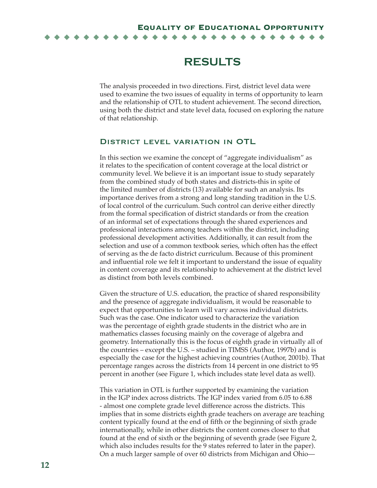## **RESULTS**

The analysis proceeded in two directions. First, district level data were used to examine the two issues of equality in terms of opportunity to learn and the relationship of OTL to student achievement. The second direction, using both the district and state level data, focused on exploring the nature of that relationship.

#### District level variation in OTL

u u u u u u u u u u u u u u u u u u u u u u u u u u u u u

In this section we examine the concept of "aggregate individualism" as it relates to the specification of content coverage at the local district or community level. We believe it is an important issue to study separately from the combined study of both states and districts-this in spite of the limited number of districts (13) available for such an analysis. Its importance derives from a strong and long standing tradition in the U.S. of local control of the curriculum. Such control can derive either directly from the formal specification of district standards or from the creation of an informal set of expectations through the shared experiences and professional interactions among teachers within the district, including professional development activities. Additionally, it can result from the selection and use of a common textbook series, which often has the effect of serving as the de facto district curriculum. Because of this prominent and influential role we felt it important to understand the issue of equality in content coverage and its relationship to achievement at the district level as distinct from both levels combined.

Given the structure of U.S. education, the practice of shared responsibility and the presence of aggregate individualism, it would be reasonable to expect that opportunities to learn will vary across individual districts. Such was the case. One indicator used to characterize the variation was the percentage of eighth grade students in the district who are in mathematics classes focusing mainly on the coverage of algebra and geometry. Internationally this is the focus of eighth grade in virtually all of the countries – except the U.S. – studied in TIMSS (Author, 1997b) and is especially the case for the highest achieving countries (Author, 2001b). That percentage ranges across the districts from 14 percent in one district to 95 percent in another (see Figure 1, which includes state level data as well).

This variation in OTL is further supported by examining the variation in the IGP index across districts. The IGP index varied from 6.05 to 6.88 - almost one complete grade level difference across the districts. This implies that in some districts eighth grade teachers on average are teaching content typically found at the end of fifth or the beginning of sixth grade internationally, while in other districts the content comes closer to that found at the end of sixth or the beginning of seventh grade (see Figure 2, which also includes results for the 9 states referred to later in the paper). On a much larger sample of over 60 districts from Michigan and Ohio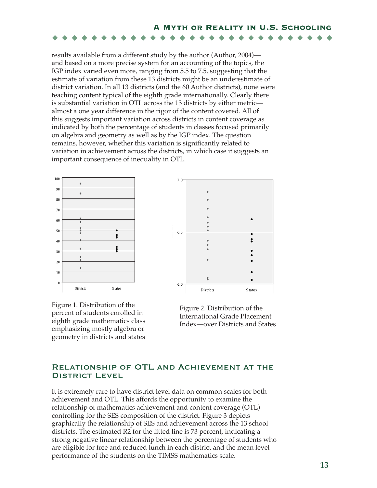results available from a different study by the author (Author, 2004) and based on a more precise system for an accounting of the topics, the IGP index varied even more, ranging from 5.5 to 7.5, suggesting that the estimate of variation from these 13 districts might be an underestimate of district variation. In all 13 districts (and the 60 Author districts), none were teaching content typical of the eighth grade internationally. Clearly there is substantial variation in OTL across the 13 districts by either metric almost a one year difference in the rigor of the content covered. All of this suggests important variation across districts in content coverage as indicated by both the percentage of students in classes focused primarily on algebra and geometry as well as by the IGP index. The question remains, however, whether this variation is significantly related to variation in achievement across the districts, in which case it suggests an important consequence of inequality in OTL.





Figure 1. Distribution of the percent of students enrolled in eighth grade mathematics class emphasizing mostly algebra or geometry in districts and states

Figure 2. Distribution of the International Grade Placement Index—over Districts and States

#### Relationship of OTL and Achievement at the DISTRICT LEVEL

It is extremely rare to have district level data on common scales for both achievement and OTL. This affords the opportunity to examine the relationship of mathematics achievement and content coverage (OTL) controlling for the SES composition of the district. Figure 3 depicts graphically the relationship of SES and achievement across the 13 school districts. The estimated R2 for the fitted line is 73 percent, indicating a strong negative linear relationship between the percentage of students who are eligible for free and reduced lunch in each district and the mean level performance of the students on the TIMSS mathematics scale.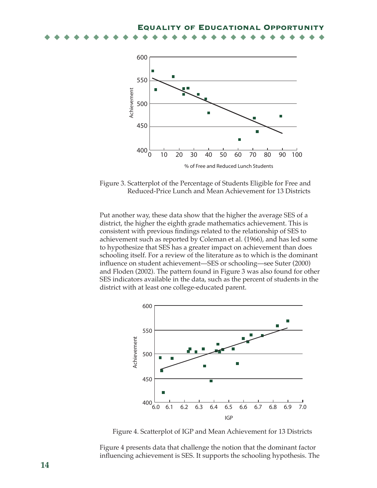

u u u u u u u u u u u u u u u u u u u u u u u u u u u u u

Figure 3. Scatterplot of the Percentage of Students Eligible for Free and Reduced-Price Lunch and Mean Achievement for 13 Districts

Put another way, these data show that the higher the average SES of a district, the higher the eighth grade mathematics achievement. This is consistent with previous findings related to the relationship of SES to achievement such as reported by Coleman et al. (1966), and has led some to hypothesize that SES has a greater impact on achievement than does schooling itself. For a review of the literature as to which is the dominant influence on student achievement—SES or schooling—see Suter (2000) and Floden (2002). The pattern found in Figure 3 was also found for other SES indicators available in the data, such as the percent of students in the district with at least one college-educated parent.



Figure 4. Scatterplot of IGP and Mean Achievement for 13 Districts

Figure 4 presents data that challenge the notion that the dominant factor influencing achievement is SES. It supports the schooling hypothesis. The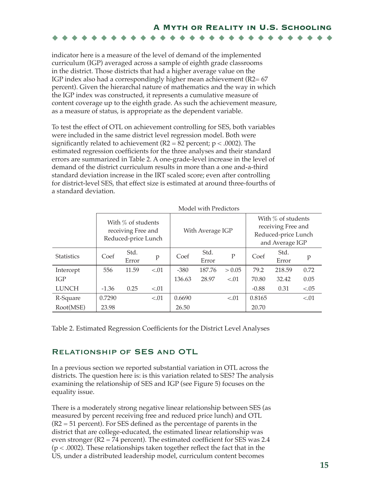#### u u u u u u u u u u u u u u u u u u u u u u u u u u u u u **A Myth or Reality in U.S. Schooling**

indicator here is a measure of the level of demand of the implemented curriculum (IGP) averaged across a sample of eighth grade classrooms in the district. Those districts that had a higher average value on the IGP index also had a correspondingly higher mean achievement (R2= 67 percent). Given the hierarchal nature of mathematics and the way in which the IGP index was constructed, it represents a cumulative measure of content coverage up to the eighth grade. As such the achievement measure, as a measure of status, is appropriate as the dependent variable.

To test the effect of OTL on achievement controlling for SES, both variables were included in the same district level regression model. Both were significantly related to achievement ( $R2 = 82$  percent;  $p < .0002$ ). The estimated regression coefficients for the three analyses and their standard errors are summarized in Table 2. A one-grade-level increase in the level of demand of the district curriculum results in more than a one and-a-third standard deviation increase in the IRT scaled score; even after controlling for district-level SES, that effect size is estimated at around three-fourths of a standard deviation.

|                   | With % of students<br>receiving Free and<br>Reduced-price Lunch |               |        |        | With Average IGP |        | With % of students<br>receiving Free and<br>Reduced-price Lunch<br>and Average IGP |               |        |
|-------------------|-----------------------------------------------------------------|---------------|--------|--------|------------------|--------|------------------------------------------------------------------------------------|---------------|--------|
| <b>Statistics</b> | Coef                                                            | Std.<br>Error | p      | Coef   | Std.<br>Error    | P      | Coef                                                                               | Std.<br>Error | p      |
| Intercept         | 556                                                             | 11.59         | $-.01$ | $-380$ | 187.76           | > 0.05 | 79.2                                                                               | 218.59        | 0.72   |
| IGP               |                                                                 |               |        | 136.63 | 28.97            | < 0.01 | 70.80                                                                              | 32.42         | 0.05   |
| <b>LUNCH</b>      | $-1.36$                                                         | 0.25          | < 0.01 |        |                  |        | $-0.88$                                                                            | 0.31          | $-.05$ |
| R-Square          | 0.7290                                                          |               | $-.01$ | 0.6690 |                  | < 0.01 | 0.8165                                                                             |               | $-.01$ |
| Root(MSE)         | 23.98                                                           |               |        | 26.50  |                  |        | 20.70                                                                              |               |        |

Model with Predictors

Table 2. Estimated Regression Coefficients for the District Level Analyses

#### Relationship of SES and OTL

In a previous section we reported substantial variation in OTL across the districts. The question here is: is this variation related to SES? The analysis examining the relationship of SES and IGP (see Figure 5) focuses on the equality issue.

There is a moderately strong negative linear relationship between SES (as measured by percent receiving free and reduced price lunch) and OTL (R2 = 51 percent). For SES defined as the percentage of parents in the district that are college-educated, the estimated linear relationship was even stronger (R2 = 74 percent). The estimated coefficient for SES was 2.4 (p < .0002). These relationships taken together reflect the fact that in the US, under a distributed leadership model, curriculum content becomes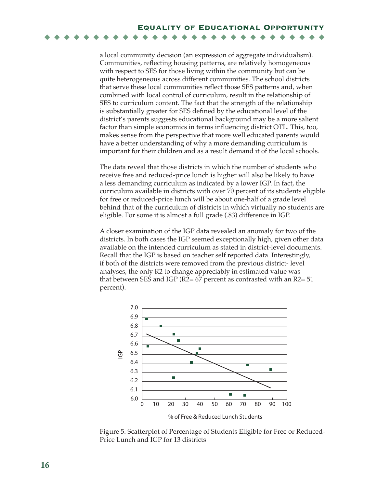a local community decision (an expression of aggregate individualism). Communities, reflecting housing patterns, are relatively homogeneous with respect to SES for those living within the community but can be quite heterogeneous across different communities. The school districts that serve these local communities reflect those SES patterns and, when combined with local control of curriculum, result in the relationship of SES to curriculum content. The fact that the strength of the relationship is substantially greater for SES defined by the educational level of the district's parents suggests educational background may be a more salient factor than simple economics in terms influencing district OTL. This, too, makes sense from the perspective that more well educated parents would have a better understanding of why a more demanding curriculum is important for their children and as a result demand it of the local schools.

u u u u u u u u u u u u u u u u u u u u u u u u u u u u u

The data reveal that those districts in which the number of students who receive free and reduced-price lunch is higher will also be likely to have a less demanding curriculum as indicated by a lower IGP. In fact, the curriculum available in districts with over 70 percent of its students eligible for free or reduced-price lunch will be about one-half of a grade level behind that of the curriculum of districts in which virtually no students are eligible. For some it is almost a full grade (.83) difference in IGP.

A closer examination of the IGP data revealed an anomaly for two of the districts. In both cases the IGP seemed exceptionally high, given other data available on the intended curriculum as stated in district-level documents. Recall that the IGP is based on teacher self reported data. Interestingly, if both of the districts were removed from the previous district- level analyses, the only R2 to change appreciably in estimated value was that between SES and IGP ( $R2 = 67$  percent as contrasted with an  $R2 = 51$ percent).



Figure 5. Scatterplot of Percentage of Students Eligible for Free or Reduced-Price Lunch and IGP for 13 districts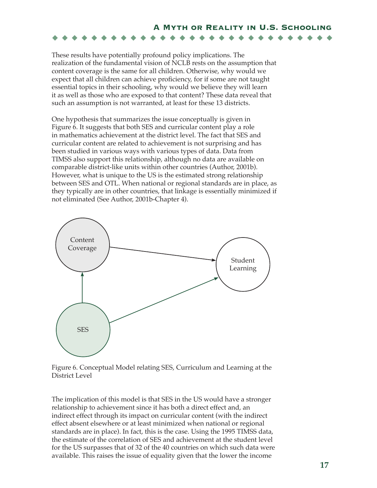#### u u u u u u u u u u u u u u u u u u u u u u u u u u u u u **A Myth or Reality in U.S. Schooling**

These results have potentially profound policy implications. The realization of the fundamental vision of NCLB rests on the assumption that content coverage is the same for all children. Otherwise, why would we expect that all children can achieve proficiency, for if some are not taught essential topics in their schooling, why would we believe they will learn it as well as those who are exposed to that content? These data reveal that such an assumption is not warranted, at least for these 13 districts.

One hypothesis that summarizes the issue conceptually is given in Figure 6. It suggests that both SES and curricular content play a role in mathematics achievement at the district level. The fact that SES and curricular content are related to achievement is not surprising and has been studied in various ways with various types of data. Data from TIMSS also support this relationship, although no data are available on comparable district-like units within other countries (Author, 2001b). However, what is unique to the US is the estimated strong relationship between SES and OTL. When national or regional standards are in place, as they typically are in other countries, that linkage is essentially minimized if not eliminated (See Author, 2001b-Chapter 4).



Figure 6. Conceptual Model relating SES, Curriculum and Learning at the District Level

The implication of this model is that SES in the US would have a stronger relationship to achievement since it has both a direct effect and, an indirect effect through its impact on curricular content (with the indirect effect absent elsewhere or at least minimized when national or regional standards are in place). In fact, this is the case. Using the 1995 TIMSS data, the estimate of the correlation of SES and achievement at the student level for the US surpasses that of 32 of the 40 countries on which such data were available. This raises the issue of equality given that the lower the income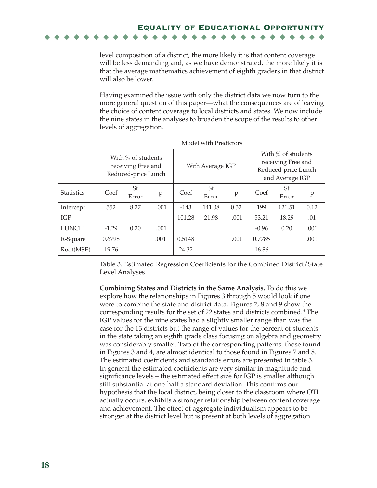**EQUALITY OF EDUCATIONAL OPPORTUNIT** u u u u u u u u u u u u u u u u u u u u u u u u u u u u u

> level composition of a district, the more likely it is that content coverage will be less demanding and, as we have demonstrated, the more likely it is that the average mathematics achievement of eighth graders in that district will also be lower.

> Having examined the issue with only the district data we now turn to the more general question of this paper—what the consequences are of leaving the choice of content coverage to local districts and states. We now include the nine states in the analyses to broaden the scope of the results to other levels of aggregation.

|                   | With % of students<br>receiving Free and<br>Reduced-price Lunch |             |      | With Average IGP |                    |      | With % of students<br>receiving Free and<br>Reduced-price Lunch<br>and Average IGP |             |      |
|-------------------|-----------------------------------------------------------------|-------------|------|------------------|--------------------|------|------------------------------------------------------------------------------------|-------------|------|
| <b>Statistics</b> | Coef                                                            | St<br>Error | p    | Coef             | <b>St</b><br>Error | p    | Coef                                                                               | St<br>Error | p    |
| Intercept         | 552                                                             | 8.27        | .001 | $-143$           | 141.08             | 0.32 | 199                                                                                | 121.51      | 0.12 |
| IGP               |                                                                 |             |      | 101.28           | 21.98              | .001 | 53.21                                                                              | 18.29       | .01  |
| <b>LUNCH</b>      | $-1.29$                                                         | 0.20        | .001 |                  |                    |      | $-0.96$                                                                            | 0.20        | .001 |
| R-Square          | 0.6798                                                          |             | .001 | 0.5148           |                    | .001 | 0.7785                                                                             |             | .001 |
| Root(MSE)         | 19.76                                                           |             |      | 24.32            |                    |      | 16.86                                                                              |             |      |

Model with Predictors

Table 3. Estimated Regression Coefficients for the Combined District/State Level Analyses

**Combining States and Districts in the Same Analysis.** To do this we explore how the relationships in Figures 3 through 5 would look if one were to combine the state and district data. Figures 7, 8 and 9 show the corresponding results for the set of 22 states and districts combined.<sup>3</sup> The IGP values for the nine states had a slightly smaller range than was the case for the 13 districts but the range of values for the percent of students in the state taking an eighth grade class focusing on algebra and geometry was considerably smaller. Two of the corresponding patterns, those found in Figures 3 and 4, are almost identical to those found in Figures 7 and 8. The estimated coefficients and standards errors are presented in table 3. In general the estimated coefficients are very similar in magnitude and significance levels – the estimated effect size for IGP is smaller although still substantial at one-half a standard deviation. This confirms our hypothesis that the local district, being closer to the classroom where OTL actually occurs, exhibits a stronger relationship between content coverage and achievement. The effect of aggregate individualism appears to be stronger at the district level but is present at both levels of aggregation.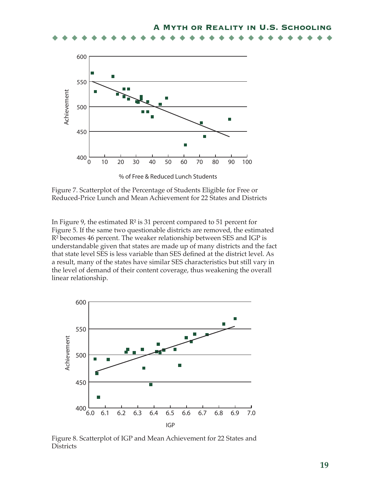

u u u u u u u u u u u u u u u u u u u u u u u u u u u u u

Figure 7. Scatterplot of the Percentage of Students Eligible for Free or Reduced-Price Lunch and Mean Achievement for 22 States and Districts

In Figure 9, the estimated  $R^2$  is 31 percent compared to 51 percent for Figure 5. If the same two questionable districts are removed, the estimated R² becomes 46 percent. The weaker relationship between SES and IGP is understandable given that states are made up of many districts and the fact that state level SES is less variable than SES defined at the district level. As a result, many of the states have similar SES characteristics but still vary in the level of demand of their content coverage, thus weakening the overall linear relationship.



Figure 8. Scatterplot of IGP and Mean Achievement for 22 States and **Districts**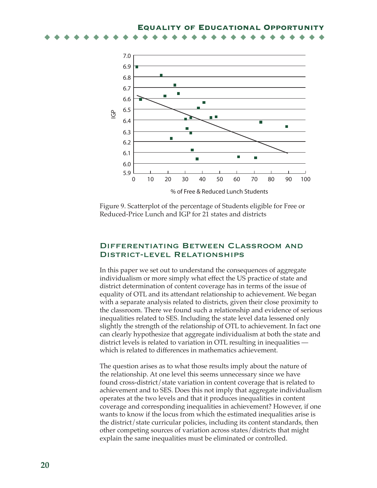#### **EQUALITY OF EDUCATIONAL OPPORTU** u u u u u u u u u u u u u u u u u u u u u u u u u u u u u



Figure 9. Scatterplot of the percentage of Students eligible for Free or Reduced-Price Lunch and IGP for 21 states and districts

#### Differentiating Between Classroom and District-level Relationships

In this paper we set out to understand the consequences of aggregate individualism or more simply what effect the US practice of state and district determination of content coverage has in terms of the issue of equality of OTL and its attendant relationship to achievement. We began with a separate analysis related to districts, given their close proximity to the classroom. There we found such a relationship and evidence of serious inequalities related to SES. Including the state level data lessened only slightly the strength of the relationship of OTL to achievement. In fact one can clearly hypothesize that aggregate individualism at both the state and district levels is related to variation in OTL resulting in inequalities which is related to differences in mathematics achievement.

The question arises as to what those results imply about the nature of the relationship. At one level this seems unnecessary since we have found cross-district/state variation in content coverage that is related to achievement and to SES. Does this not imply that aggregate individualism operates at the two levels and that it produces inequalities in content coverage and corresponding inequalities in achievement? However, if one wants to know if the locus from which the estimated inequalities arise is the district/state curricular policies, including its content standards, then other competing sources of variation across states/districts that might explain the same inequalities must be eliminated or controlled.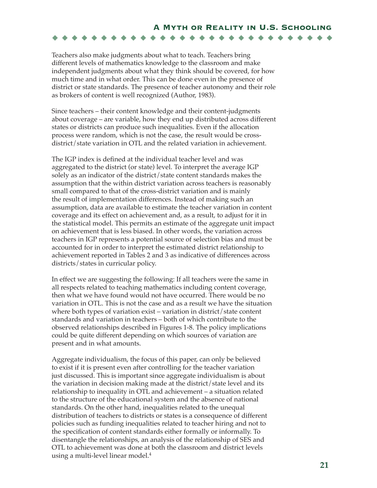#### **A Myth or Reality in U.S. Schooling**

#### Teachers also make judgments about what to teach. Teachers bring different levels of mathematics knowledge to the classroom and make independent judgments about what they think should be covered, for how much time and in what order. This can be done even in the presence of district or state standards. The presence of teacher autonomy and their role

u u u u u u u u u u u u u u u u u u u u u u u u u u u u u

Since teachers – their content knowledge and their content-judgments about coverage – are variable, how they end up distributed across different states or districts can produce such inequalities. Even if the allocation process were random, which is not the case, the result would be crossdistrict/state variation in OTL and the related variation in achievement.

as brokers of content is well recognized (Author, 1983).

The IGP index is defined at the individual teacher level and was aggregated to the district (or state) level. To interpret the average IGP solely as an indicator of the district/state content standards makes the assumption that the within district variation across teachers is reasonably small compared to that of the cross-district variation and is mainly the result of implementation differences. Instead of making such an assumption, data are available to estimate the teacher variation in content coverage and its effect on achievement and, as a result, to adjust for it in the statistical model. This permits an estimate of the aggregate unit impact on achievement that is less biased. In other words, the variation across teachers in IGP represents a potential source of selection bias and must be accounted for in order to interpret the estimated district relationship to achievement reported in Tables 2 and 3 as indicative of differences across districts/states in curricular policy.

In effect we are suggesting the following: If all teachers were the same in all respects related to teaching mathematics including content coverage, then what we have found would not have occurred. There would be no variation in OTL. This is not the case and as a result we have the situation where both types of variation exist – variation in district/state content standards and variation in teachers – both of which contribute to the observed relationships described in Figures 1-8. The policy implications could be quite different depending on which sources of variation are present and in what amounts.

Aggregate individualism, the focus of this paper, can only be believed to exist if it is present even after controlling for the teacher variation just discussed. This is important since aggregate individualism is about the variation in decision making made at the district/state level and its relationship to inequality in OTL and achievement – a situation related to the structure of the educational system and the absence of national standards. On the other hand, inequalities related to the unequal distribution of teachers to districts or states is a consequence of different policies such as funding inequalities related to teacher hiring and not to the specification of content standards either formally or informally. To disentangle the relationships, an analysis of the relationship of SES and OTL to achievement was done at both the classroom and district levels using a multi-level linear model.4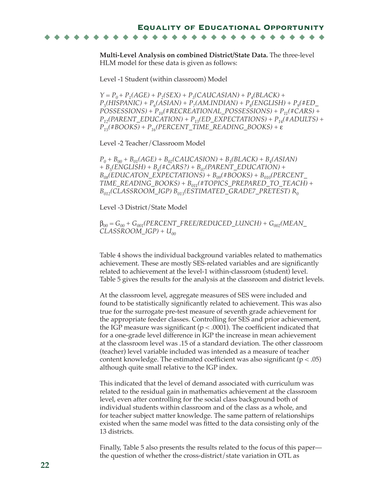**Multi-Level Analysis on combined District/State Data.** The three-level HLM model for these data is given as follows:

Level -1 Student (within classroom) Model

 $Y = P_0 + P_1(AGE) + P_2(SEX) + P_3(CAUCASIAN) + P_4(BLACK) +$  $P_5(HISPANIC) + P_6(ASIAN) + P_7(AM.IDIAN) + P_8(ENGLISH) + P_9(#ED$ *POSSESSIONS) + P10(#RECREATIONAL\_POSSESSIONS) + P11(#CARS) +*   $P_{12}(PARENT\_EDUCATION) + P_{13}(ED\_EXPECTATIONS) + P_{14}(#ADULTS) + P_{15}(FRAE)$ *P15(#BOOKS) + P16(PERCENT\_TIME\_READING\_BOOKS)* + ε

Level -2 Teacher/Classroom Model

 $P_0 + B_{00} + B_{01}(AGE) + B_{02}(CAUCASION) + B_3(BLACK) + B_4(ASIAN)$  $+ B_5(ENGLISH) + B_6(#CARS?) + B_{07}(PARENT\_EDUCATION) +$  $B_{0.8}(EDUCATOR\_EXPECTATIONS) + B_{0.9}(#BOOKS) + B_{0.10}(PERCENT\_$  $TIME\_READING\_BOOKS) + B_{011}$ (#TOPICS\_PREPARED\_TO\_TEACH) + *B*<sub>012</sub>(CLASSROOM\_IGP) B<sub>013</sub>(ESTIMATED\_GRADE7\_PRETEST) R<sub>0</sub>

Level -3 District/State Model

$$
\begin{aligned} \beta_{00} = G_{00} + G_{001}(PERCENT\_FREE/REDUCED\_LUNCH) + G_{002}(MEAN\_CLASSRoom\_IGP) + U_{00} \end{aligned}
$$

Table 4 shows the individual background variables related to mathematics achievement. These are mostly SES-related variables and are significantly related to achievement at the level-1 within-classroom (student) level. Table 5 gives the results for the analysis at the classroom and district levels.

At the classroom level, aggregate measures of SES were included and found to be statistically significantly related to achievement. This was also true for the surrogate pre-test measure of seventh grade achievement for the appropriate feeder classes. Controlling for SES and prior achievement, the IGP measure was significant ( $p < .0001$ ). The coefficient indicated that for a one-grade level difference in IGP the increase in mean achievement at the classroom level was .15 of a standard deviation. The other classroom (teacher) level variable included was intended as a measure of teacher content knowledge. The estimated coefficient was also significant ( $p < .05$ ) although quite small relative to the IGP index.

This indicated that the level of demand associated with curriculum was related to the residual gain in mathematics achievement at the classroom level, even after controlling for the social class background both of individual students within classroom and of the class as a whole, and for teacher subject matter knowledge. The same pattern of relationships existed when the same model was fitted to the data consisting only of the 13 districts.

Finally, Table 5 also presents the results related to the focus of this paper the question of whether the cross-district/state variation in OTL as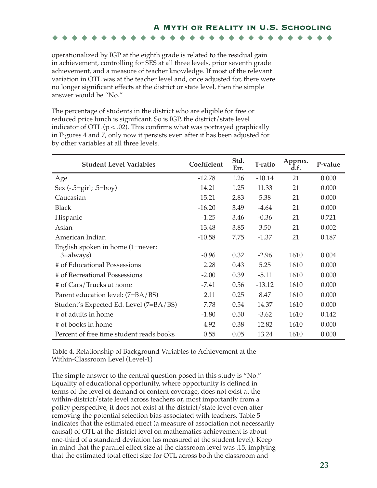#### **A Myth or Reality in U.S. Schooling**

operationalized by IGP at the eighth grade is related to the residual gain in achievement, controlling for SES at all three levels, prior seventh grade achievement, and a measure of teacher knowledge. If most of the relevant variation in OTL was at the teacher level and, once adjusted for, there were no longer significant effects at the district or state level, then the simple answer would be "No."

u u u u u u u u u u u u u u u u u u u u u u u u u u u u u

The percentage of students in the district who are eligible for free or reduced price lunch is significant. So is IGP, the district/state level indicator of OTL ( $p < .02$ ). This confirms what was portrayed graphically in Figures 4 and 7, only now it persists even after it has been adjusted for by other variables at all three levels.

| <b>Student Level Variables</b>           | Coefficient | Std.<br>Err. | T-ratio  | Approx.<br>d.f. | P-value |
|------------------------------------------|-------------|--------------|----------|-----------------|---------|
| Age                                      | $-12.78$    | 1.26         | $-10.14$ | 21              | 0.000   |
| Sex $(-.5=girl; .5=boy)$                 | 14.21       | 1.25         | 11.33    | 21              | 0.000   |
| Caucasian                                | 15.21       | 2.83         | 5.38     | 21              | 0.000   |
| <b>Black</b>                             | $-16.20$    | 3.49         | $-4.64$  | 21              | 0.000   |
| Hispanic                                 | $-1.25$     | 3.46         | $-0.36$  | 21              | 0.721   |
| Asian                                    | 13.48       | 3.85         | 3.50     | 21              | 0.002   |
| American Indian                          | $-10.58$    | 7.75         | $-1.37$  | 21              | 0.187   |
| English spoken in home (1=never;         |             |              |          |                 |         |
| $3 =$ always)                            | $-0.96$     | 0.32         | $-2.96$  | 1610            | 0.004   |
| # of Educational Possessions             | 2.28        | 0.43         | 5.25     | 1610            | 0.000   |
| # of Recreational Possessions            | $-2.00$     | 0.39         | $-5.11$  | 1610            | 0.000   |
| # of Cars/Trucks at home                 | $-7.41$     | 0.56         | $-13.12$ | 1610            | 0.000   |
| Parent education level: (7=BA/BS)        | 2.11        | 0.25         | 8.47     | 1610            | 0.000   |
| Student's Expected Ed. Level (7=BA/BS)   | 7.78        | 0.54         | 14.37    | 1610            | 0.000   |
| # of adults in home                      | $-1.80$     | 0.50         | $-3.62$  | 1610            | 0.142   |
| # of books in home                       | 4.92        | 0.38         | 12.82    | 1610            | 0.000   |
| Percent of free time student reads books | 0.55        | 0.05         | 13.24    | 1610            | 0.000   |

Table 4. Relationship of Background Variables to Achievement at the Within-Classroom Level (Level-1)

The simple answer to the central question posed in this study is "No." Equality of educational opportunity, where opportunity is defined in terms of the level of demand of content coverage, does not exist at the within-district/state level across teachers or, most importantly from a policy perspective, it does not exist at the district/state level even after removing the potential selection bias associated with teachers. Table 5 indicates that the estimated effect (a measure of association not necessarily causal) of OTL at the district level on mathematics achievement is about one-third of a standard deviation (as measured at the student level). Keep in mind that the parallel effect size at the classroom level was .15, implying that the estimated total effect size for OTL across both the classroom and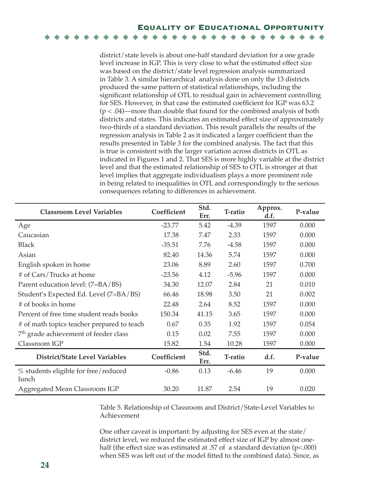#### **EQUALITY OF EDUCATIONAL OPPORTUNI** u u u u u u u u u u u u u u u u u u u u u u u u u u u u u

district/state levels is about one-half standard deviation for a one grade level increase in IGP. This is very close to what the estimated effect size was based on the district/state level regression analysis summarized in Table 3. A similar hierarchical analysis done on only the 13 districts produced the same pattern of statistical relationships, including the significant relationship of OTL to residual gain in achievement controlling for SES. However, in that case the estimated coefficient for IGP was 63.2 (p < .04)—more than double that found for the combined analysis of both districts and states. This indicates an estimated effect size of approximately two-thirds of a standard deviation. This result parallels the results of the regression analysis in Table 2 as it indicated a larger coefficient than the results presented in Table 3 for the combined analysis. The fact that this is true is consistent with the larger variation across districts in OTL as indicated in Figures 1 and 2. That SES is more highly variable at the district level and that the estimated relationship of SES to OTL is stronger at that level implies that aggregate individualism plays a more prominent role in being related to inequalities in OTL and correspondingly to the serious consequences relating to differences in achievement.

| <b>Classroom Level Variables</b>                  | Coefficient | Std.<br>Err. | T-ratio | Approx.<br>d.f. | P-value |
|---------------------------------------------------|-------------|--------------|---------|-----------------|---------|
| Age                                               | $-23.77$    | 5.42         | $-4.39$ | 1597            | 0.000   |
| Caucasian                                         | 17.38       | 7.47         | 2.33    | 1597            | 0.000   |
| <b>Black</b>                                      | $-35.51$    | 7.76         | $-4.58$ | 1597            | 0.000   |
| Asian                                             | 82.40       | 14.36        | 5.74    | 1597            | 0.000   |
| English spoken in home                            | 23.06       | 8.89         | 2.60    | 1597            | 0.700   |
| # of Cars/Trucks at home                          | $-23.56$    | 4.12         | $-5.96$ | 1597            | 0.000   |
| Parent education level: (7=BA/BS)                 | 34.30       | 12.07        | 2.84    | 21              | 0.010   |
| Student's Expected Ed. Level (7=BA/BS)            | 66.46       | 18.98        | 3.50    | 21              | 0.002   |
| # of books in home                                | 22.48       | 2.64         | 8.52    | 1597            | 0.000   |
| Percent of free time student reads books          | 150.34      | 41.15        | 3.65    | 1597            | 0.000   |
| # of math topics teacher prepared to teach        | 0.67        | 0.35         | 1.92    | 1597            | 0.054   |
| 7 <sup>th</sup> grade achievement of feeder class | 0.15        | 0.02         | 7.55    | 1597            | 0.000   |
| Classroom IGP                                     | 15.82       | 1.54         | 10.28   | 1597            | 0.000   |
| <b>District/State Level Variables</b>             | Coefficient | Std.<br>Err. | T-ratio | d.f.            | P-value |
| % students eligible for free/reduced<br>lunch     | $-0.86$     | 0.13         | $-6.46$ | 19              | 0.000   |
| Aggregated Mean Classroom IGP                     | 30.20       | 11.87        | 2.54    | 19              | 0.020   |

Table 5. Relationship of Classroom and District/State-Level Variables to Achievement

One other caveat is important: by adjusting for SES even at the state/ district level, we reduced the estimated effect size of IGP by almost onehalf (the effect size was estimated at .57 of a standard deviation  $(p<.000)$ ) when SES was left out of the model fitted to the combined data). Since, as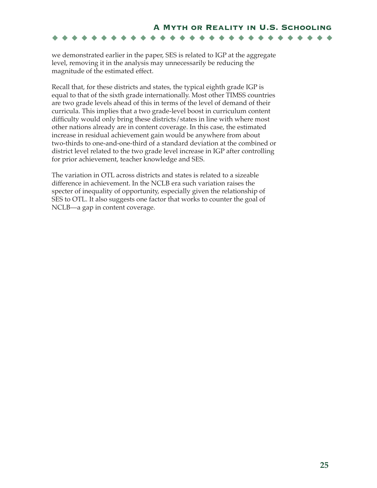#### u u u u u u u u u u u u u u u u u u u u u u u u u u u u u

we demonstrated earlier in the paper, SES is related to IGP at the aggregate level, removing it in the analysis may unnecessarily be reducing the magnitude of the estimated effect.

Recall that, for these districts and states, the typical eighth grade IGP is equal to that of the sixth grade internationally. Most other TIMSS countries are two grade levels ahead of this in terms of the level of demand of their curricula. This implies that a two grade-level boost in curriculum content difficulty would only bring these districts/states in line with where most other nations already are in content coverage. In this case, the estimated increase in residual achievement gain would be anywhere from about two-thirds to one-and-one-third of a standard deviation at the combined or district level related to the two grade level increase in IGP after controlling for prior achievement, teacher knowledge and SES.

The variation in OTL across districts and states is related to a sizeable difference in achievement. In the NCLB era such variation raises the specter of inequality of opportunity, especially given the relationship of SES to OTL. It also suggests one factor that works to counter the goal of NCLB—a gap in content coverage.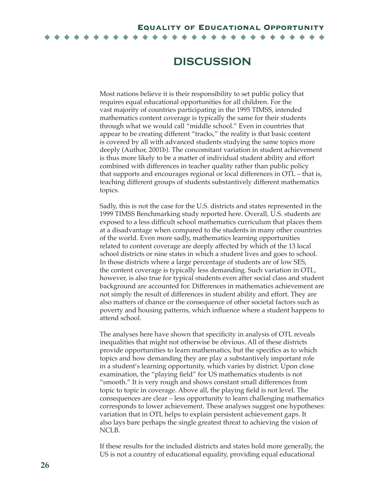### **DISCUSSION**

u u u u u u u u u u u u u u u u u u u u u u u u u u u u u

Most nations believe it is their responsibility to set public policy that requires equal educational opportunities for all children. For the vast majority of countries participating in the 1995 TIMSS, intended mathematics content coverage is typically the same for their students through what we would call "middle school." Even in countries that appear to be creating different "tracks," the reality is that basic content is covered by all with advanced students studying the same topics more deeply (Author, 2001b). The concomitant variation in student achievement is thus more likely to be a matter of individual student ability and effort combined with differences in teacher quality rather than public policy that supports and encourages regional or local differences in OTL – that is, teaching different groups of students substantively different mathematics topics.

Sadly, this is not the case for the U.S. districts and states represented in the 1999 TIMSS Benchmarking study reported here. Overall, U.S. students are exposed to a less difficult school mathematics curriculum that places them at a disadvantage when compared to the students in many other countries of the world. Even more sadly, mathematics learning opportunities related to content coverage are deeply affected by which of the 13 local school districts or nine states in which a student lives and goes to school. In those districts where a large percentage of students are of low SES, the content coverage is typically less demanding. Such variation in OTL, however, is also true for typical students even after social class and student background are accounted for. Differences in mathematics achievement are not simply the result of differences in student ability and effort. They are also matters of chance or the consequence of other societal factors such as poverty and housing patterns, which influence where a student happens to attend school.

The analyses here have shown that specificity in analysis of OTL reveals inequalities that might not otherwise be obvious. All of these districts provide opportunities to learn mathematics, but the specifics as to which topics and how demanding they are play a substantively important role in a student's learning opportunity, which varies by district. Upon close examination, the "playing field" for US mathematics students is not "smooth." It is very rough and shows constant small differences from topic to topic in coverage. Above all, the playing field is not level. The consequences are clear – less opportunity to learn challenging mathematics corresponds to lower achievement. These analyses suggest one hypotheses: variation that in OTL helps to explain persistent achievement gaps. It also lays bare perhaps the single greatest threat to achieving the vision of NCLB.

If these results for the included districts and states hold more generally, the US is not a country of educational equality, providing equal educational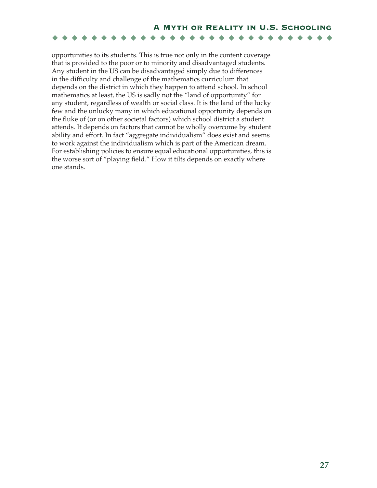#### u u u u u u u u u u u u u u u u u u u u u u u u u u u u u **A Myth or Reality in U.S. Schooling**

opportunities to its students. This is true not only in the content coverage that is provided to the poor or to minority and disadvantaged students. Any student in the US can be disadvantaged simply due to differences in the difficulty and challenge of the mathematics curriculum that depends on the district in which they happen to attend school. In school mathematics at least, the US is sadly not the "land of opportunity" for any student, regardless of wealth or social class. It is the land of the lucky few and the unlucky many in which educational opportunity depends on the fluke of (or on other societal factors) which school district a student attends. It depends on factors that cannot be wholly overcome by student ability and effort. In fact "aggregate individualism" does exist and seems to work against the individualism which is part of the American dream. For establishing policies to ensure equal educational opportunities, this is the worse sort of "playing field." How it tilts depends on exactly where one stands.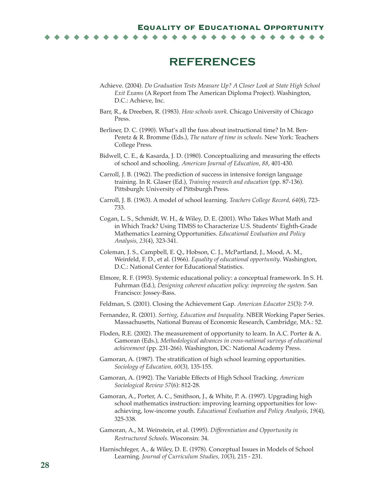## **REFERENCES**

u u u u u u u u u u u u u u u u u u u u u u u u u u u u u

- Achieve. (2004). *Do Graduation Tests Measure Up? A Closer Look at State High School Exit Exams* (A Report from The American Diploma Project). Washington, D.C.: Achieve, Inc.
- Barr, R., & Dreeben, R. (1983). *How schools work*. Chicago University of Chicago Press.
- Berliner, D. C. (1990). What's all the fuss about instructional time? In M. Ben-Peretz & R. Bromme (Eds.), *The nature of time in schools.* New York: Teachers College Press.
- Bidwell, C. E., & Kasarda, J. D. (1980). Conceptualizing and measuring the effects of school and schooling. *American Journal of Education, 88*, 401-430.
- Carroll, J. B. (1962). The prediction of success in intensive foreign language training. In R. Glaser (Ed.), *Training research and education* (pp. 87-136). Pittsburgh: University of Pittsburgh Press.
- Carroll, J. B. (1963). A model of school learning. *Teachers College Record, 64*(8), 723- 733.
- Cogan, L. S., Schmidt, W. H., & Wiley, D. E. (2001). Who Takes What Math and in Which Track? Using TIMSS to Characterize U.S. Students' Eighth-Grade Mathematics Learning Opportunities. *Educational Evaluation and Policy Analysis, 23*(4), 323-341.
- Coleman, J. S., Campbell, E. Q., Hobson, C. J., McPartland, J., Mood, A. M., Weinfeld, F. D., et al. (1966). *Equality of educational opportunity*. Washington, D.C.: National Center for Educational Statistics.
- Elmore, R. F. (1993). Systemic educational policy: a conceptual framework. In S. H. Fuhrman (Ed.), *Designing coherent education policy: improving the system*. San Francisco: Jossey-Bass.
- Feldman, S. (2001). Closing the Achievement Gap. *American Educator 25*(3): 7-9.
- Fernandez, R. (2001). *Sorting, Education and Inequality*. NBER Working Paper Series. Massachusetts, National Bureau of Economic Research, Cambridge, MA.: 52.
- Floden, R.E. (2002). The measurement of opportunity to learn. In A.C. Porter & A. Gamoran (Eds.), *Methodological advances in cross-national surveys of educational achievement* (pp. 231-266). Washington, DC: National Academy Press.
- Gamoran, A. (1987). The stratification of high school learning opportunities. *Sociology of Education, 60*(3), 135-155.
- Gamoran, A. (1992). The Variable Effects of High School Tracking. *American Sociological Review 57*(6): 812-28.
- Gamoran, A., Porter, A. C., Smithson, J., & White, P. A. (1997). Upgrading high school mathematics instruction: improving learning opportunities for lowachieving, low-income youth. *Educational Evaluation and Policy Analysis, 19*(4), 325-338.
- Gamoran, A., M. Weinstein, et al. (1995). *Differentiation and Opportunity in Restructured Schools*. Wisconsin: 34.
- Harnischfeger, A., & Wiley, D. E. (1978). Conceptual Issues in Models of School Learning. *Journal of Curriculum Studies, 10*(3), 215 - 231.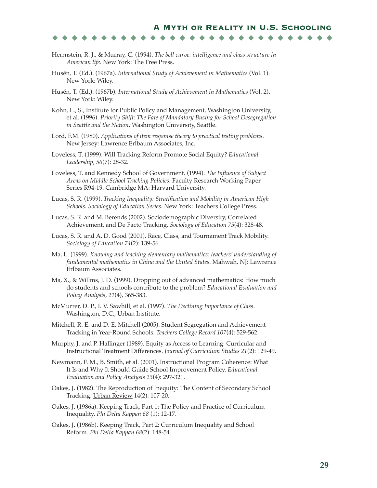Herrnstein, R. J., & Murray, C. (1994). *The bell curve: intelligence and class structure in American life*. New York: The Free Press.

u u u u u u u u u u u u u u u u u u u u u u u u u u u u u

- Husén, T. (Ed.). (1967a). *International Study of Achievement in Mathematics* (Vol. 1). New York: Wiley.
- Husén, T. (Ed.). (1967b). *International Study of Achievement in Mathematics* (Vol. 2). New York: Wiley.
- Kohn, L., S., Institute for Public Policy and Management, Washington University, et al. (1996). *Priority Shift: The Fate of Mandatory Busing for School Desegregation in Seattle and the Nation*. Washington University, Seattle.
- Lord, F.M. (1980). *Applications of item response theory to practical testing problems*. New Jersey: Lawrence Erlbaum Associates, Inc.
- Loveless, T. (1999). Will Tracking Reform Promote Social Equity? *Educational Leadership, 56*(7): 28-32.
- Loveless, T. and Kennedy School of Government. (1994). *The Influence of Subject Areas on Middle School Tracking Policies*. Faculty Research Working Paper Series R94-19. Cambridge MA: Harvard University.
- Lucas, S. R. (1999). *Tracking Inequality: Stratification and Mobility in American High Schools. Sociology of Education Series*. New York: Teachers College Press.
- Lucas, S. R. and M. Berends (2002). Sociodemographic Diversity, Correlated Achievement, and De Facto Tracking. *Sociology of Education 75*(4): 328-48.
- Lucas, S. R. and A. D. Good (2001). Race, Class, and Tournament Track Mobility. *Sociology of Education 74*(2): 139-56.
- Ma, L. (1999). *Knowing and teaching elementary mathematics: teachers' understanding of fundamental mathematics in China and the United States*. Mahwah, NJ: Lawrence Erlbaum Associates.
- Ma, X., & Willms, J. D. (1999). Dropping out of advanced mathematics: How much do students and schools contribute to the problem? *Educational Evaluation and Policy Analysis, 21*(4), 365-383.
- McMurrer, D. P., I. V. Sawhill, et al. (1997). *The Declining Importance of Class*. Washington, D.C., Urban Institute.
- Mitchell, R. E. and D. E. Mitchell (2005). Student Segregation and Achievement Tracking in Year-Round Schools. *Teachers College Record 107*(4): 529-562.
- Murphy, J. and P. Hallinger (1989). Equity as Access to Learning: Curricular and Instructional Treatment Differences. *Journal of Curriculum Studies 21*(2): 129-49.
- Newmann, F. M., B. Smith, et al. (2001). Instructional Program Coherence: What It Is and Why It Should Guide School Improvement Policy. *Educational Evaluation and Policy Analysis 23*(4): 297-321.
- Oakes, J. (1982). The Reproduction of Inequity: The Content of Secondary School Tracking. Urban Review 14(2): 107-20.
- Oakes, J. (1986a). Keeping Track, Part 1: The Policy and Practice of Curriculum Inequality. *Phi Delta Kappan 68* (1): 12-17.
- Oakes, J. (1986b). Keeping Track, Part 2: Curriculum Inequality and School Reform. *Phi Delta Kappan 68*(2): 148-54.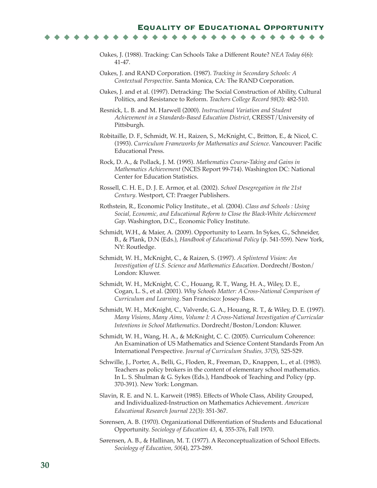#### **Equality of Educational Opportunity** u u u u u u u u u u u u u u u u u u u u u u u u u u u u u

- Oakes, J. (1988). Tracking: Can Schools Take a Different Route? *NEA Today 6*(6): 41-47.
- Oakes, J. and RAND Corporation. (1987). *Tracking in Secondary Schools: A Contextual Perspective*. Santa Monica, CA: The RAND Corporation.
- Oakes, J. and et al. (1997). Detracking: The Social Construction of Ability, Cultural Politics, and Resistance to Reform. *Teachers College Record 98*(3): 482-510.
- Resnick, L. B. and M. Harwell (2000). *Instructional Variation and Student Achievement in a Standards-Based Education District*, CRESST/University of Pittsburgh.
- Robitaille, D. F., Schmidt, W. H., Raizen, S., McKnight, C., Britton, E., & Nicol, C. (1993). *Curriculum Frameworks for Mathematics and Science*. Vancouver: Pacific Educational Press.
- Rock, D. A., & Pollack, J. M. (1995). *Mathematics Course-Taking and Gains in Mathematics Achievement* (NCES Report 99-714). Washington DC: National Center for Education Statistics.
- Rossell, C. H. E., D. J. E. Armor, et al. (2002). *School Desegregation in the 21st Century*. Westport, CT: Praeger Publishers.
- Rothstein, R., Economic Policy Institute., et al. (2004). *Class and Schools : Using Social, Economic, and Educational Reform to Close the Black-White Achievement Gap*. Washington, D.C., Economic Policy Institute.
- Schmidt, W.H., & Maier, A. (2009). Opportunity to Learn. In Sykes, G., Schneider, B., & Plank, D.N (Eds.), *Handbook of Educational Policy* (p. 541-559). New York, NY: Routledge.
- Schmidt, W. H., McKnight, C., & Raizen, S. (1997). *A Splintered Vision: An Investigation of U.S. Science and Mathematics Education*. Dordrecht/Boston/ London: Kluwer.
- Schmidt, W. H., McKnight, C. C., Houang, R. T., Wang, H. A., Wiley, D. E., Cogan, L. S., et al. (2001). *Why Schools Matter: A Cross-National Comparison of Curriculum and Learning*. San Francisco: Jossey-Bass.
- Schmidt, W. H., McKnight, C., Valverde, G. A., Houang, R. T., & Wiley, D. E. (1997). *Many Visions, Many Aims, Volume I: A Cross-National Investigation of Curricular Intentions in School Mathematics*. Dordrecht/Boston/London: Kluwer.
- Schmidt, W. H., Wang, H. A., & McKnight, C. C. (2005). Curriculum Coherence: An Examination of US Mathematics and Science Content Standards From An International Perspective. *Journal of Curriculum Studies, 37*(5), 525-529.
- Schwille, J., Porter, A., Belli, G., Floden, R., Freeman, D., Knappen, L., et al. (1983). Teachers as policy brokers in the content of elementary school mathematics. In L. S. Shulman & G. Sykes (Eds.), Handbook of Teaching and Policy (pp. 370-391). New York: Longman.
- Slavin, R. E. and N. L. Karweit (1985). Effects of Whole Class, Ability Grouped, and Individualized-Instruction on Mathematics Achievement. *American Educational Research Journal 22*(3): 351-367.
- Sorensen, A. B. (1970). Organizational Differentiation of Students and Educational Opportunity. *Sociology of Education 43*, 4, 355-376, Fall 1970.
- Sørensen, A. B., & Hallinan, M. T. (1977). A Reconceptualization of School Effects. *Sociology of Education, 50*(4), 273-289.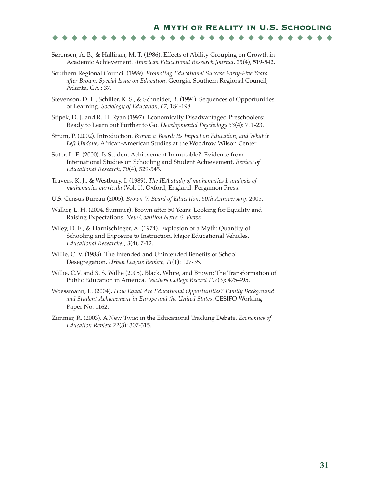#### **A Myth or Reality in U.S. Schooling**

Sørensen, A. B., & Hallinan, M. T. (1986). Effects of Ability Grouping on Growth in Academic Achievement. *American Educational Research Journal, 23*(4), 519-542.

u u u u u u u u u u u u u u u u u u u u u u u u u u u u u

- Southern Regional Council (1999). *Promoting Educational Success Forty-Five Years after Brown. Special Issue on Education*. Georgia, Southern Regional Council, Atlanta, GA.: 37.
- Stevenson, D. L., Schiller, K. S., & Schneider, B. (1994). Sequences of Opportunities of Learning. *Sociology of Education, 67*, 184-198.
- Stipek, D. J. and R. H. Ryan (1997). Economically Disadvantaged Preschoolers: Ready to Learn but Further to Go. *Developmental Psychology 33*(4): 711-23.
- Strum, P. (2002). Introduction. *Brown v. Board: Its Impact on Education, and What it Left Undone*, African-American Studies at the Woodrow Wilson Center.
- Suter, L. E. (2000). Is Student Achievement Immutable? Evidence from International Studies on Schooling and Student Achievement. *Review of Educational Research, 70*(4), 529-545.
- Travers, K. J., & Westbury, I. (1989). *The IEA study of mathematics I: analysis of mathematics curricula* (Vol. 1). Oxford, England: Pergamon Press.
- U.S. Census Bureau (2005). *Brown V. Board of Education: 50th Anniversary*. 2005.
- Walker, L. H. (2004, Summer). Brown after 50 Years: Looking for Equality and Raising Expectations. *New Coalition News & Views*.
- Wiley, D. E., & Harnischfeger, A. (1974). Explosion of a Myth: Quantity of Schooling and Exposure to Instruction, Major Educational Vehicles, *Educational Researcher, 3*(4), 7-12.
- Willie, C. V. (1988). The Intended and Unintended Benefits of School Desegregation. *Urban League Review, 11*(1): 127-35.
- Willie, C.V. and S. S. Willie (2005). Black, White, and Brown: The Transformation of Public Education in America. *Teachers College Record 107*(3): 475-495.
- Woessmann, L. (2004). *How Equal Are Educational Opportunities? Family Background and Student Achievement in Europe and the United States*. CESIFO Working Paper No. 1162.
- Zimmer, R. (2003). A New Twist in the Educational Tracking Debate. *Economics of Education Review 22*(3): 307-315.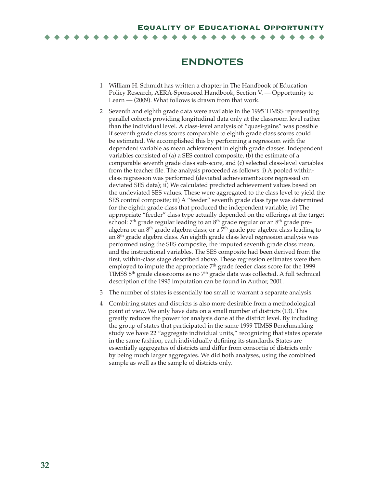#### **ENDNOTES**

u u u u u u u u u u u u u u u u u u u u u u u u u u u u u

- 1 William H. Schmidt has written a chapter in The Handbook of Education Policy Research, AERA-Sponsored Handbook, Section V. — Opportunity to Learn — (2009). What follows is drawn from that work.
- 2 Seventh and eighth grade data were available in the 1995 TIMSS representing parallel cohorts providing longitudinal data only at the classroom level rather than the individual level. A class-level analysis of "quasi-gains" was possible if seventh grade class scores comparable to eighth grade class scores could be estimated. We accomplished this by performing a regression with the dependent variable as mean achievement in eighth grade classes. Independent variables consisted of (a) a SES control composite, (b) the estimate of a comparable seventh grade class sub-score, and (c) selected class-level variables from the teacher file. The analysis proceeded as follows: i) A pooled withinclass regression was performed (deviated achievement score regressed on deviated SES data); ii) We calculated predicted achievement values based on the undeviated SES values. These were aggregated to the class level to yield the SES control composite; iii) A "feeder" seventh grade class type was determined for the eighth grade class that produced the independent variable; iv) The appropriate "feeder" class type actually depended on the offerings at the target school:  $7<sup>th</sup>$  grade regular leading to an  $8<sup>th</sup>$  grade regular or an  $8<sup>th</sup>$  grade prealgebra or an  $8<sup>th</sup>$  grade algebra class; or a  $7<sup>th</sup>$  grade pre-algebra class leading to an 8th grade algebra class. An eighth grade class level regression analysis was performed using the SES composite, the imputed seventh grade class mean, and the instructional variables. The SES composite had been derived from the first, within-class stage described above. These regression estimates were then employed to impute the appropriate 7<sup>th</sup> grade feeder class score for the 1999 TIMSS  $8<sup>th</sup>$  grade classrooms as no  $7<sup>th</sup>$  grade data was collected. A full technical description of the 1995 imputation can be found in Author, 2001.
- The number of states is essentially too small to warrant a separate analysis.
- 4 Combining states and districts is also more desirable from a methodological point of view. We only have data on a small number of districts (13). This greatly reduces the power for analysis done at the district level. By including the group of states that participated in the same 1999 TIMSS Benchmarking study we have 22 "aggregate individual units," recognizing that states operate in the same fashion, each individually defining its standards. States are essentially aggregates of districts and differ from consortia of districts only by being much larger aggregates. We did both analyses, using the combined sample as well as the sample of districts only.